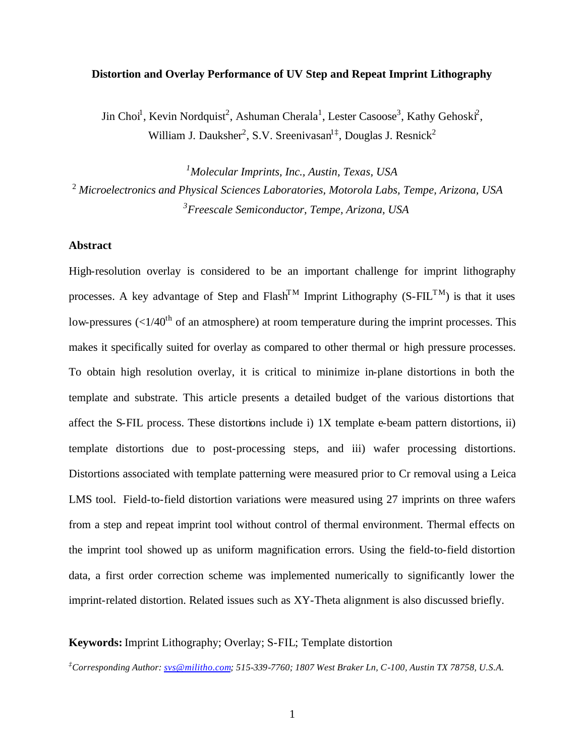### **Distortion and Overlay Performance of UV Step and Repeat Imprint Lithography**

Jin Choi<sup>1</sup>, Kevin Nordquist<sup>2</sup>, Ashuman Cherala<sup>1</sup>, Lester Casoose<sup>3</sup>, Kathy Gehoski<sup>2</sup>, William J. Dauksher<sup>2</sup>, S.V. Sreenivasan<sup>1‡</sup>, Douglas J. Resnick<sup>2</sup>

*<sup>1</sup>Molecular Imprints, Inc., Austin, Texas, USA* <sup>2</sup>*Microelectronics and Physical Sciences Laboratories, Motorola Labs, Tempe, Arizona, USA <sup>3</sup>Freescale Semiconductor, Tempe, Arizona, USA*

#### **Abstract**

High-resolution overlay is considered to be an important challenge for imprint lithography processes. A key advantage of Step and  $Flash<sup>TM</sup>$  Imprint Lithography (S-FIL<sup>TM</sup>) is that it uses low-pressures  $\left($  <  $1/40<sup>th</sup>$  of an atmosphere) at room temperature during the imprint processes. This makes it specifically suited for overlay as compared to other thermal or high pressure processes. To obtain high resolution overlay, it is critical to minimize in-plane distortions in both the template and substrate. This article presents a detailed budget of the various distortions that affect the S-FIL process. These distortions include i) 1X template e-beam pattern distortions, ii) template distortions due to post-processing steps, and iii) wafer processing distortions. Distortions associated with template patterning were measured prior to Cr removal using a Leica LMS tool. Field-to-field distortion variations were measured using 27 imprints on three wafers from a step and repeat imprint tool without control of thermal environment. Thermal effects on the imprint tool showed up as uniform magnification errors. Using the field-to-field distortion data, a first order correction scheme was implemented numerically to significantly lower the imprint-related distortion. Related issues such as XY-Theta alignment is also discussed briefly.

# **Keywords:** Imprint Lithography; Overlay; S-FIL; Template distortion

*‡Corresponding Author: svs@militho.com; 515-339-7760; 1807 West Braker Ln, C-100, Austin TX 78758, U.S.A.*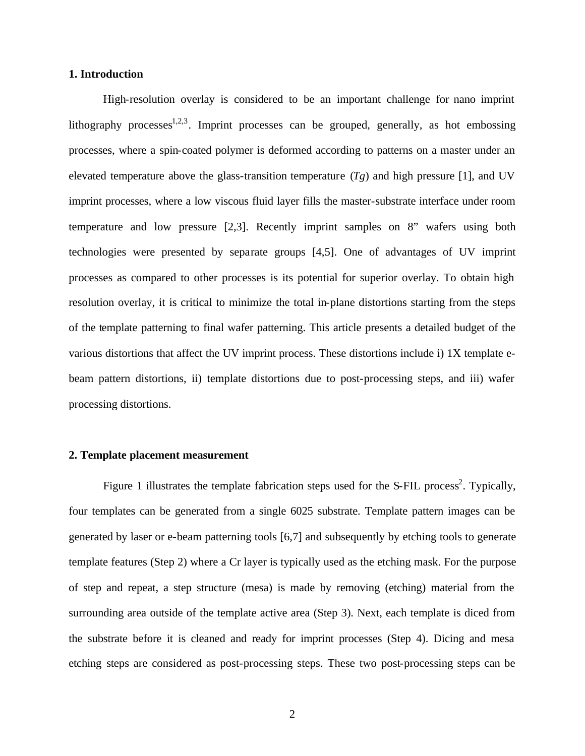## **1. Introduction**

High-resolution overlay is considered to be an important challenge for nano imprint lithography processes<sup>1,2,3</sup>. Imprint processes can be grouped, generally, as hot embossing processes, where a spin-coated polymer is deformed according to patterns on a master under an elevated temperature above the glass-transition temperature  $(T_g)$  and high pressure [1], and UV imprint processes, where a low viscous fluid layer fills the master-substrate interface under room temperature and low pressure [2,3]. Recently imprint samples on 8" wafers using both technologies were presented by separate groups [4,5]. One of advantages of UV imprint processes as compared to other processes is its potential for superior overlay. To obtain high resolution overlay, it is critical to minimize the total in-plane distortions starting from the steps of the template patterning to final wafer patterning. This article presents a detailed budget of the various distortions that affect the UV imprint process. These distortions include i) 1X template ebeam pattern distortions, ii) template distortions due to post-processing steps, and iii) wafer processing distortions.

#### **2. Template placement measurement**

Figure 1 illustrates the template fabrication steps used for the S-FIL process<sup>2</sup>. Typically, four templates can be generated from a single 6025 substrate. Template pattern images can be generated by laser or e-beam patterning tools [6,7] and subsequently by etching tools to generate template features (Step 2) where a Cr layer is typically used as the etching mask. For the purpose of step and repeat, a step structure (mesa) is made by removing (etching) material from the surrounding area outside of the template active area (Step 3). Next, each template is diced from the substrate before it is cleaned and ready for imprint processes (Step 4). Dicing and mesa etching steps are considered as post-processing steps. These two post-processing steps can be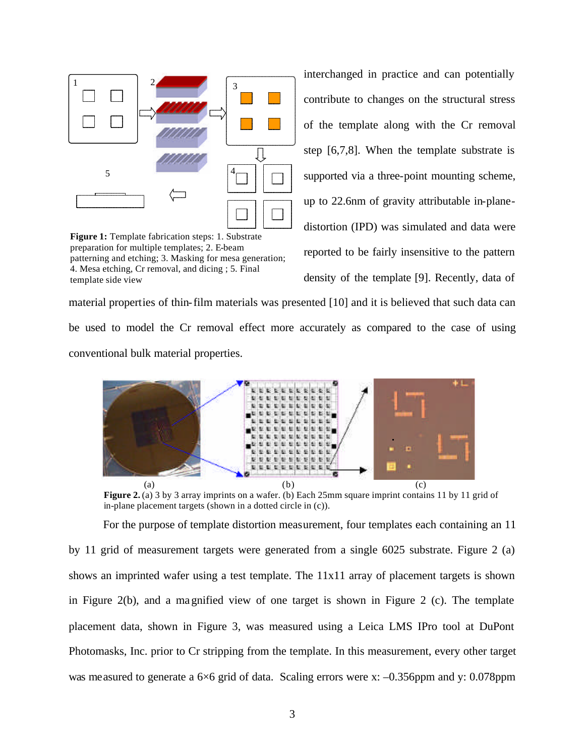

**Figure 1:** Template fabrication steps: 1. Substrate preparation for multiple templates; 2. E-beam patterning and etching; 3. Masking for mesa generation; 4. Mesa etching, Cr removal, and dicing ; 5. Final template side view

interchanged in practice and can potentially contribute to changes on the structural stress of the template along with the Cr removal step [6,7,8]. When the template substrate is supported via a three-point mounting scheme, up to 22.6nm of gravity attributable in-planedistortion (IPD) was simulated and data were reported to be fairly insensitive to the pattern density of the template [9]. Recently, data of

material properties of thin-film materials was presented [10] and it is believed that such data can be used to model the Cr removal effect more accurately as compared to the case of using conventional bulk material properties.



**Figure 2.** (a) 3 by 3 array imprints on a wafer. (b) Each 25mm square imprint contains 11 by 11 grid of in-plane placement targets (shown in a dotted circle in (c)).

For the purpose of template distortion measurement, four templates each containing an 11 by 11 grid of measurement targets were generated from a single 6025 substrate. Figure 2 (a) shows an imprinted wafer using a test template. The  $11x11$  array of placement targets is shown in Figure 2(b), and a magnified view of one target is shown in Figure 2 (c). The template placement data, shown in Figure 3, was measured using a Leica LMS IPro tool at DuPont Photomasks, Inc. prior to Cr stripping from the template. In this measurement, every other target was measured to generate a 6×6 grid of data. Scaling errors were x:  $-0.356$ ppm and y: 0.078ppm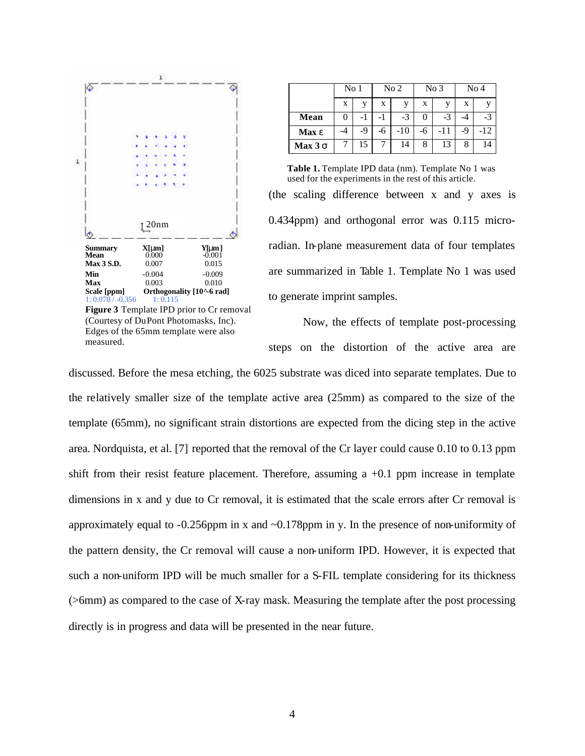

|              | No <sub>1</sub> |     | No <sub>2</sub> |      | No <sub>3</sub> |     | No <sub>4</sub> |       |
|--------------|-----------------|-----|-----------------|------|-----------------|-----|-----------------|-------|
|              | X               |     | X               |      | X               | v   | X               |       |
| Mean         |                 | - 1 |                 | $-3$ | 0               | -3  | -4              | $-3$  |
| <b>Max e</b> | $-4$            | -9  | -6              | -10  | -6              | -11 | -9              | $-12$ |
| Max 3s       |                 | 15  |                 | 14   | 8               | 13  | 8               | 14    |

**Table 1.** Template IPD data (nm). Template No 1 was used for the experiments in the rest of this article.

(the scaling difference between x and y axes is 0.434ppm) and orthogonal error was 0.115 microradian. In-plane measurement data of four templates are summarized in Table 1. Template No 1 was used to generate imprint samples.

Now, the effects of template post-processing steps on the distortion of the active area are

discussed. Before the mesa etching, the 6025 substrate was diced into separate templates. Due to the relatively smaller size of the template active area (25mm) as compared to the size of the template (65mm), no significant strain distortions are expected from the dicing step in the active area. Nordquista, et al. [7] reported that the removal of the Cr layer could cause 0.10 to 0.13 ppm shift from their resist feature placement. Therefore, assuming a +0.1 ppm increase in template dimensions in x and y due to Cr removal, it is estimated that the scale errors after Cr removal is approximately equal to -0.256ppm in x and ~0.178ppm in y. In the presence of non-uniformity of the pattern density, the Cr removal will cause a non-uniform IPD. However, it is expected that such a non-uniform IPD will be much smaller for a S-FIL template considering for its thickness (>6mm) as compared to the case of X-ray mask. Measuring the template after the post processing directly is in progress and data will be presented in the near future.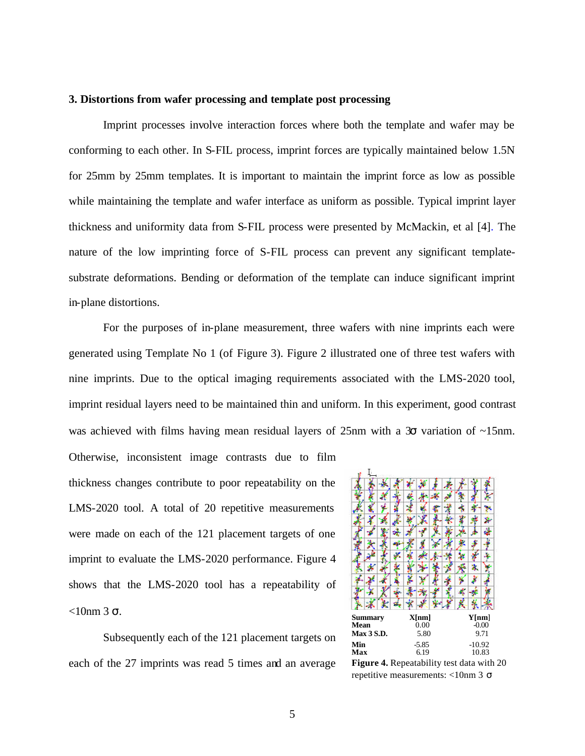#### **3. Distortions from wafer processing and template post processing**

Imprint processes involve interaction forces where both the template and wafer may be conforming to each other. In S-FIL process, imprint forces are typically maintained below 1.5N for 25mm by 25mm templates. It is important to maintain the imprint force as low as possible while maintaining the template and wafer interface as uniform as possible. Typical imprint layer thickness and uniformity data from S-FIL process were presented by McMackin, et al [4]. The nature of the low imprinting force of S-FIL process can prevent any significant templatesubstrate deformations. Bending or deformation of the template can induce significant imprint in-plane distortions.

For the purposes of in-plane measurement, three wafers with nine imprints each were generated using Template No 1 (of Figure 3). Figure 2 illustrated one of three test wafers with nine imprints. Due to the optical imaging requirements associated with the LMS-2020 tool, imprint residual layers need to be maintained thin and uniform. In this experiment, good contrast was achieved with films having mean residual layers of 25nm with a  $3\sigma$  variation of  $\sim$ 15nm.

Otherwise, inconsistent image contrasts due to film thickness changes contribute to poor repeatability on the LMS-2020 tool. A total of 20 repetitive measurements were made on each of the 121 placement targets of one imprint to evaluate the LMS-2020 performance. Figure 4 shows that the LMS-2020 tool has a repeatability of  $<$ 10nm 3 σ.

Subsequently each of the 121 placement targets on each of the 27 imprints was read 5 times and an average



**Figure 4.** Repeatability test data with 20 repetitive measurements: <10nm 3 σ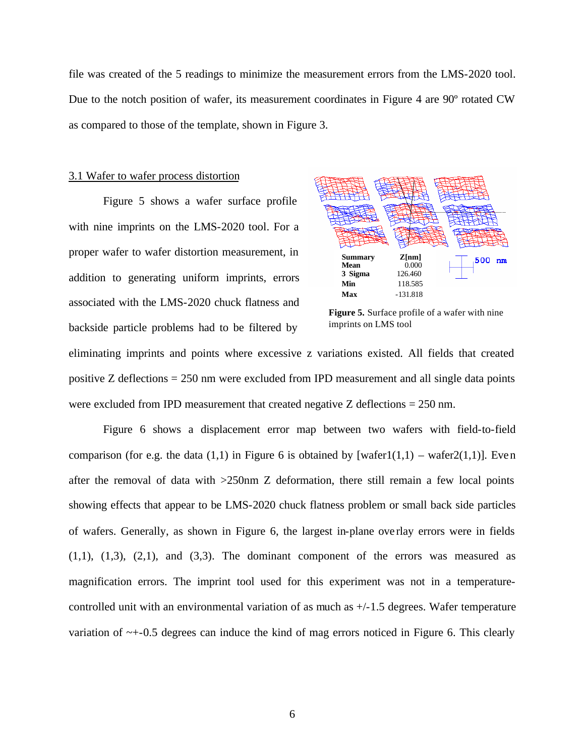file was created of the 5 readings to minimize the measurement errors from the LMS-2020 tool. Due to the notch position of wafer, its measurement coordinates in Figure 4 are 90º rotated CW as compared to those of the template, shown in Figure 3.

#### 3.1 Wafer to wafer process distortion

Figure 5 shows a wafer surface profile with nine imprints on the LMS-2020 tool. For a proper wafer to wafer distortion measurement, in addition to generating uniform imprints, errors associated with the LMS-2020 chuck flatness and backside particle problems had to be filtered by



**Figure 5.** Surface profile of a wafer with nine imprints on LMS tool

eliminating imprints and points where excessive z variations existed. All fields that created positive Z deflections = 250 nm were excluded from IPD measurement and all single data points were excluded from IPD measurement that created negative Z deflections = 250 nm.

Figure 6 shows a displacement error map between two wafers with field-to-field comparison (for e.g. the data (1,1) in Figure 6 is obtained by [wafer1(1,1) – wafer2(1,1)]. Even after the removal of data with >250nm Z deformation, there still remain a few local points showing effects that appear to be LMS-2020 chuck flatness problem or small back side particles of wafers. Generally, as shown in Figure 6, the largest in-plane ove rlay errors were in fields  $(1,1)$ ,  $(1,3)$ ,  $(2,1)$ , and  $(3,3)$ . The dominant component of the errors was measured as magnification errors. The imprint tool used for this experiment was not in a temperaturecontrolled unit with an environmental variation of as much as  $+/-1.5$  degrees. Wafer temperature variation of ~+-0.5 degrees can induce the kind of mag errors noticed in Figure 6. This clearly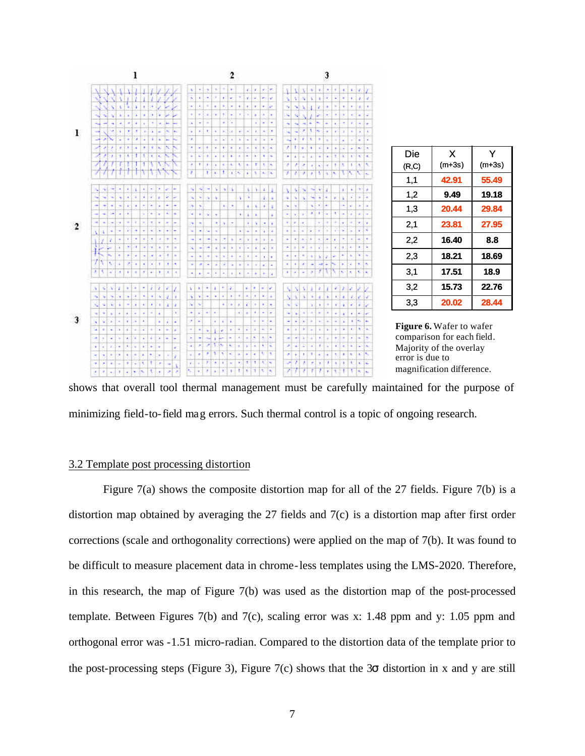

Y (m+3s)

shows that overall tool thermal management must be carefully maintained for the purpose of minimizing field-to-field mag errors. Such thermal control is a topic of ongoing research.

#### 3.2 Template post processing distortion

Figure 7(a) shows the composite distortion map for all of the 27 fields. Figure 7(b) is a distortion map obtained by averaging the 27 fields and 7(c) is a distortion map after first order corrections (scale and orthogonality corrections) were applied on the map of 7(b). It was found to be difficult to measure placement data in chrome-less templates using the LMS-2020. Therefore, in this research, the map of Figure 7(b) was used as the distortion map of the post-processed template. Between Figures 7(b) and 7(c), scaling error was x: 1.48 ppm and y: 1.05 ppm and orthogonal error was -1.51 micro-radian. Compared to the distortion data of the template prior to the post-processing steps (Figure 3), Figure 7(c) shows that the 3 $\sigma$  distortion in x and y are still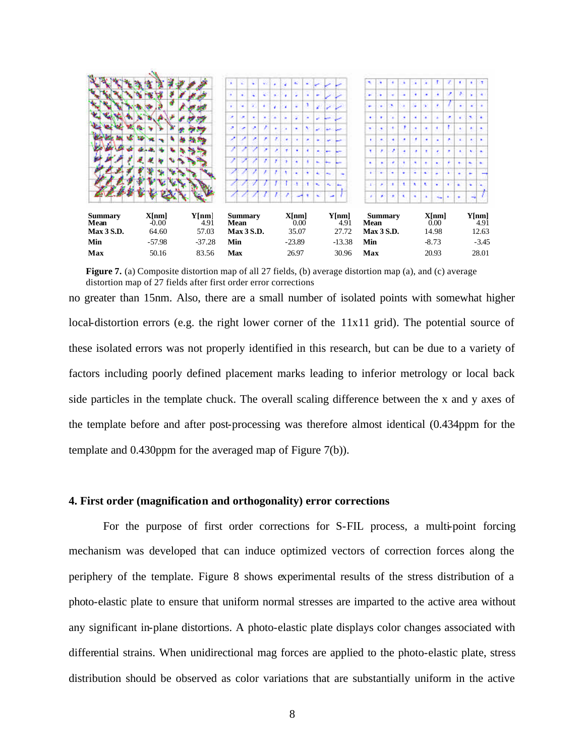

**Figure 7.** (a) Composite distortion map of all 27 fields, (b) average distortion map (a), and (c) average distortion map of 27 fields after first order error corrections

no greater than 15nm. Also, there are a small number of isolated points with somewhat higher local-distortion errors (e.g. the right lower corner of the 11x11 grid). The potential source of these isolated errors was not properly identified in this research, but can be due to a variety of factors including poorly defined placement marks leading to inferior metrology or local back side particles in the template chuck. The overall scaling difference between the x and y axes of the template before and after post-processing was therefore almost identical (0.434ppm for the template and 0.430ppm for the averaged map of Figure 7(b)).

#### **4. First order (magnification and orthogonality) error corrections**

For the purpose of first order corrections for S-FIL process, a multi-point forcing mechanism was developed that can induce optimized vectors of correction forces along the periphery of the template. Figure 8 shows experimental results of the stress distribution of a photo-elastic plate to ensure that uniform normal stresses are imparted to the active area without any significant in-plane distortions. A photo-elastic plate displays color changes associated with differential strains. When unidirectional mag forces are applied to the photo-elastic plate, stress distribution should be observed as color variations that are substantially uniform in the active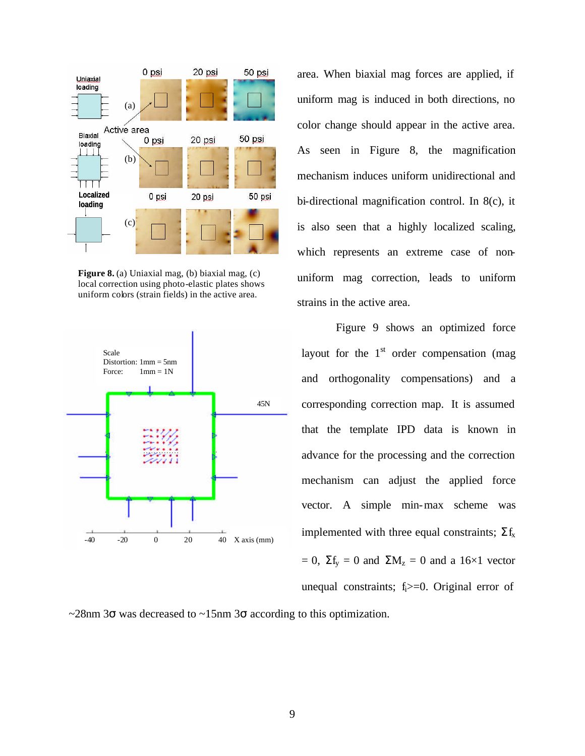

**Figure 8.** (a) Uniaxial mag, (b) biaxial mag, (c) local correction using photo-elastic plates shows uniform colors (strain fields) in the active area.



area. When biaxial mag forces are applied, if uniform mag is induced in both directions, no color change should appear in the active area. As seen in Figure 8, the magnification mechanism induces uniform unidirectional and bi-directional magnification control. In 8(c), it is also seen that a highly localized scaling, which represents an extreme case of nonuniform mag correction, leads to uniform strains in the active area.

Figure 9 shows an optimized force layout for the  $1<sup>st</sup>$  order compensation (mag and orthogonality compensations) and a corresponding correction map. It is assumed that the template IPD data is known in advance for the processing and the correction mechanism can adjust the applied force vector. A simple min-max scheme was implemented with three equal constraints;  $\Sigma f_x$  $= 0$ ,  $\Sigma f_y = 0$  and  $\Sigma M_z = 0$  and a 16×1 vector unequal constraints;  $f_i>=0$ . Original error of

 $\sim$ 28nm 3 $\sigma$  was decreased to  $\sim$ 15nm 3 $\sigma$  according to this optimization.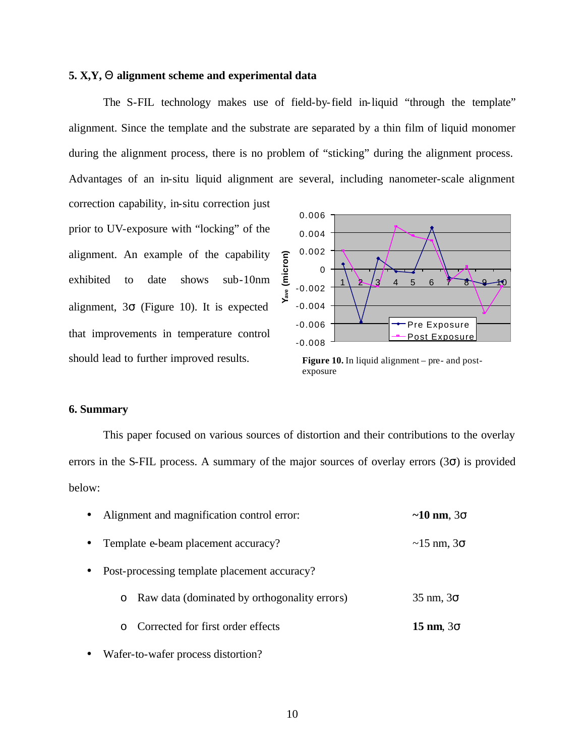#### **5. X,Y, Q alignment scheme and experimental data**

The S-FIL technology makes use of field-by-field in-liquid "through the template" alignment. Since the template and the substrate are separated by a thin film of liquid monomer during the alignment process, there is no problem of "sticking" during the alignment process. Advantages of an in-situ liquid alignment are several, including nanometer-scale alignment

correction capability, in-situ correction just prior to UV-exposure with "locking" of the alignment. An example of the capability exhibited to date shows sub-10nm alignment,  $3\sigma$  (Figure 10). It is expected that improvements in temperature control should lead to further improved results.



**Figure 10.** In liquid alignment – pre- and postexposure

# **6. Summary**

This paper focused on various sources of distortion and their contributions to the overlay errors in the S-FIL process. A summary of the major sources of overlay errors  $(3\sigma)$  is provided below:

| $\bullet$ | Alignment and magnification control error:     | $\sim$ 10 nm, 3 $\sigma$    |  |
|-----------|------------------------------------------------|-----------------------------|--|
| $\bullet$ | Template e-beam placement accuracy?            | $\sim$ 15 nm, 3 $\sigma$    |  |
| $\bullet$ | Post-processing template placement accuracy?   |                             |  |
|           | o Raw data (dominated by orthogonality errors) | $35 \text{ nm}$ , $3\sigma$ |  |
|           | Corrected for first order effects<br>$\Omega$  | $15 \text{ nm}, 3\sigma$    |  |
|           |                                                |                             |  |

Wafer-to-wafer process distortion?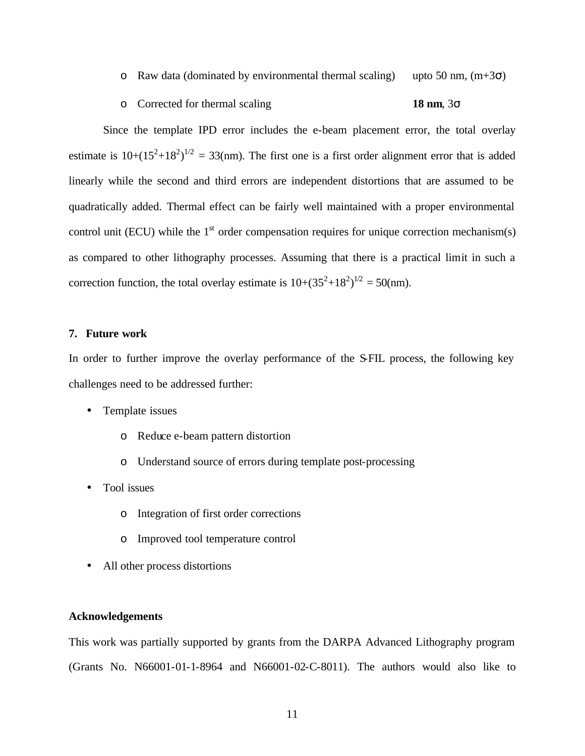- o Raw data (dominated by environmental thermal scaling) upto 50 nm,  $(m+3\sigma)$
- o Corrected for thermal scaling **18 nm**, 3σ

Since the template IPD error includes the e-beam placement error, the total overlay estimate is  $10+(15^2+18^2)^{1/2} = 33$ (nm). The first one is a first order alignment error that is added linearly while the second and third errors are independent distortions that are assumed to be quadratically added. Thermal effect can be fairly well maintained with a proper environmental control unit (ECU) while the  $1<sup>st</sup>$  order compensation requires for unique correction mechanism(s) as compared to other lithography processes. Assuming that there is a practical limit in such a correction function, the total overlay estimate is  $10+(35^2+18^2)^{1/2} = 50$ (nm).

#### **7. Future work**

In order to further improve the overlay performance of the S-FIL process, the following key challenges need to be addressed further:

- Template issues
	- o Reduce e-beam pattern distortion
	- o Understand source of errors during template post-processing
- Tool issues
	- o Integration of first order corrections
	- o Improved tool temperature control
- All other process distortions

## **Acknowledgements**

This work was partially supported by grants from the DARPA Advanced Lithography program (Grants No. N66001-01-1-8964 and N66001-02-C-8011). The authors would also like to